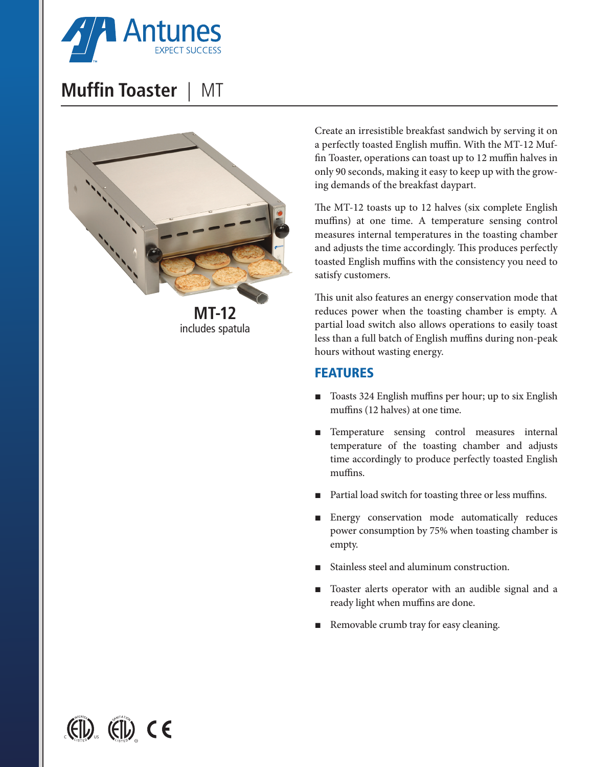

## **Muffin Toaster** | MT



Create an irresistible breakfast sandwich by serving it on a perfectly toasted English muffin. With the MT-12 Muffin Toaster, operations can toast up to 12 muffin halves in only 90 seconds, making it easy to keep up with the growing demands of the breakfast daypart.

The MT-12 toasts up to 12 halves (six complete English muffins) at one time. A temperature sensing control measures internal temperatures in the toasting chamber and adjusts the time accordingly. This produces perfectly toasted English muffins with the consistency you need to satisfy customers.

This unit also features an energy conservation mode that reduces power when the toasting chamber is empty. A partial load switch also allows operations to easily toast less than a full batch of English muffins during non-peak hours without wasting energy.

## FEATURES

- Toasts 324 English muffins per hour; up to six English muffins (12 halves) at one time.
- Temperature sensing control measures internal temperature of the toasting chamber and adjusts time accordingly to produce perfectly toasted English muffins.
- Partial load switch for toasting three or less muffins.
- Energy conservation mode automatically reduces power consumption by 75% when toasting chamber is empty.
- Stainless steel and aluminum construction.
- Toaster alerts operator with an audible signal and a ready light when muffins are done.
- Removable crumb tray for easy cleaning.